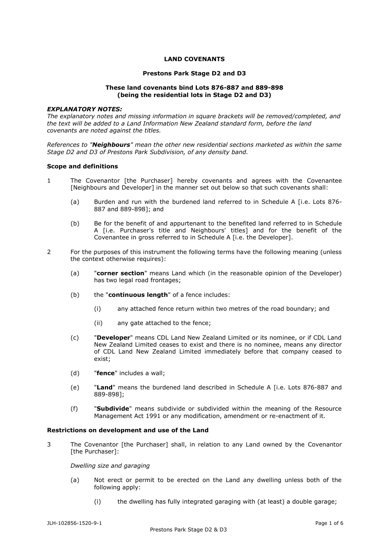# **LAND COVENANTS**

## **Prestons Park Stage D2 and D3**

## **These land covenants bind Lots 876-887 and 889-898 (being the residential lots in Stage D2 and D3)**

### *EXPLANATORY NOTES:*

*The explanatory notes and missing information in square brackets will be removed/completed, and the text will be added to a Land Information New Zealand standard form, before the land covenants are noted against the titles.* 

*References to "Neighbours" mean the other new residential sections marketed as within the same Stage D2 and D3 of Prestons Park Subdivision, of any density band.* 

## **Scope and definitions**

- 1 The Covenantor [the Purchaser] hereby covenants and agrees with the Covenantee [Neighbours and Developer] in the manner set out below so that such covenants shall:
	- (a) Burden and run with the burdened land referred to in Schedule A [i.e. Lots 876- 887 and 889-898]; and
	- (b) Be for the benefit of and appurtenant to the benefited land referred to in Schedule A [i.e. Purchaser's title and Neighbours' titles] and for the benefit of the Covenantee in gross referred to in Schedule A [i.e. the Developer].
- 2 For the purposes of this instrument the following terms have the following meaning (unless the context otherwise requires):
	- (a) "**corner section**" means Land which (in the reasonable opinion of the Developer) has two legal road frontages;
	- (b) the "**continuous length**" of a fence includes:
		- (i) any attached fence return within two metres of the road boundary; and
		- (ii) any gate attached to the fence;
	- (c) "**Developer**" means CDL Land New Zealand Limited or its nominee, or if CDL Land New Zealand Limited ceases to exist and there is no nominee, means any director of CDL Land New Zealand Limited immediately before that company ceased to exist;
	- (d) "**fence**" includes a wall;
	- (e) "**Land**" means the burdened land described in Schedule A [i.e. Lots 876-887 and 889-898];
	- (f) "**Subdivide**" means subdivide or subdivided within the meaning of the Resource Management Act 1991 or any modification, amendment or re-enactment of it.

## **Restrictions on development and use of the Land**

3 The Covenantor [the Purchaser] shall, in relation to any Land owned by the Covenantor [the Purchaser]:

#### *Dwelling size and garaging*

- (a) Not erect or permit to be erected on the Land any dwelling unless both of the following apply:
	- (i) the dwelling has fully integrated garaging with (at least) a double garage;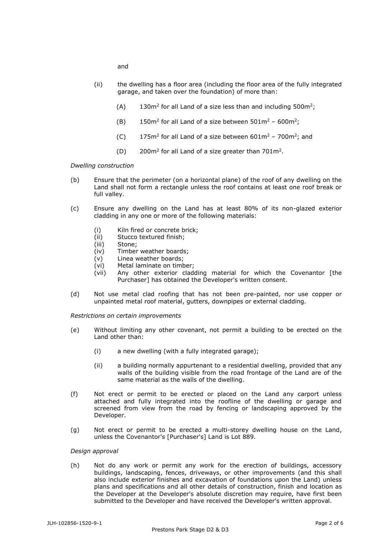and

- (ii) the dwelling has a floor area (including the floor area of the fully integrated garage, and taken over the foundation) of more than:
	- $(A)$  130m<sup>2</sup> for all Land of a size less than and including 500m<sup>2</sup>;
	- (B)  $150m^2$  for all Land of a size between  $501m^2$   $600m^2$ ;
	- $(C)$  175m<sup>2</sup> for all Land of a size between 601m<sup>2</sup> 700m<sup>2</sup>; and
	- $(D)$  200m<sup>2</sup> for all Land of a size greater than 701m<sup>2</sup>.

*Dwelling construction*

- (b) Ensure that the perimeter (on a horizontal plane) of the roof of any dwelling on the Land shall not form a rectangle unless the roof contains at least one roof break or full valley.
- (c) Ensure any dwelling on the Land has at least 80% of its non-glazed exterior cladding in any one or more of the following materials:
	- (i) Kiln fired or concrete brick;
	- (ii) Stucco textured finish;
	- (iii) Stone;
	- (iv) Timber weather boards;
	- (v) Linea weather boards;
	- (vi) Metal laminate on timber;
	- (vii) Any other exterior cladding material for which the Covenantor [the Purchaser] has obtained the Developer's written consent.
- (d) Not use metal clad roofing that has not been pre-painted, nor use copper or unpainted metal roof material, gutters, downpipes or external cladding.

*Restrictions on certain improvements*

- (e) Without limiting any other covenant, not permit a building to be erected on the Land other than:
	- (i) a new dwelling (with a fully integrated garage);
	- (ii) a building normally appurtenant to a residential dwelling, provided that any walls of the building visible from the road frontage of the Land are of the same material as the walls of the dwelling.
- (f) Not erect or permit to be erected or placed on the Land any carport unless attached and fully integrated into the roofline of the dwelling or garage and screened from view from the road by fencing or landscaping approved by the Developer.
- (g) Not erect or permit to be erected a multi-storey dwelling house on the Land, unless the Covenantor's [Purchaser's] Land is Lot 889.

## *Design approval*

(h) Not do any work or permit any work for the erection of buildings, accessory buildings, landscaping, fences, driveways, or other improvements (and this shall also include exterior finishes and excavation of foundations upon the Land) unless plans and specifications and all other details of construction, finish and location as the Developer at the Developer's absolute discretion may require, have first been submitted to the Developer and have received the Developer's written approval.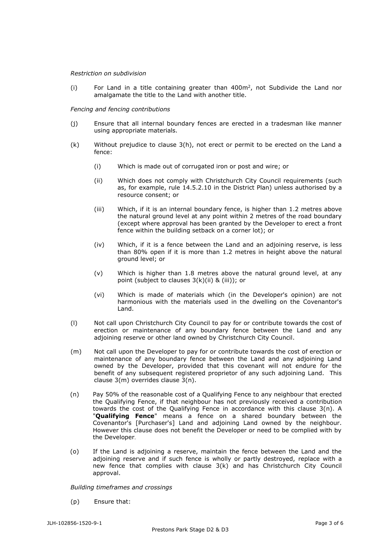### *Restriction on subdivision*

(i) For Land in a title containing greater than  $400m^2$ , not Subdivide the Land nor amalgamate the title to the Land with another title.

### *Fencing and fencing contributions*

- (j) Ensure that all internal boundary fences are erected in a tradesman like manner using appropriate materials.
- (k) Without prejudice to clause 3(h), not erect or permit to be erected on the Land a fence:
	- (i) Which is made out of corrugated iron or post and wire; or
	- (ii) Which does not comply with Christchurch City Council requirements (such as, for example, rule 14.5.2.10 in the District Plan) unless authorised by a resource consent; or
	- (iii) Which, if it is an internal boundary fence, is higher than 1.2 metres above the natural ground level at any point within 2 metres of the road boundary (except where approval has been granted by the Developer to erect a front fence within the building setback on a corner lot); or
	- (iv) Which, if it is a fence between the Land and an adjoining reserve, is less than 80% open if it is more than 1.2 metres in height above the natural ground level; or
	- (v) Which is higher than 1.8 metres above the natural ground level, at any point (subject to clauses 3(k)(ii) & (iii)); or
	- (vi) Which is made of materials which (in the Developer's opinion) are not harmonious with the materials used in the dwelling on the Covenantor's Land.
- (l) Not call upon Christchurch City Council to pay for or contribute towards the cost of erection or maintenance of any boundary fence between the Land and any adjoining reserve or other land owned by Christchurch City Council.
- (m) Not call upon the Developer to pay for or contribute towards the cost of erection or maintenance of any boundary fence between the Land and any adjoining Land owned by the Developer, provided that this covenant will not endure for the benefit of any subsequent registered proprietor of any such adjoining Land. This clause 3(m) overrides clause 3(n).
- (n) Pay 50% of the reasonable cost of a Qualifying Fence to any neighbour that erected the Qualifying Fence, if that neighbour has not previously received a contribution towards the cost of the Qualifying Fence in accordance with this clause 3(n). A "**Qualifying Fence**" means a fence on a shared boundary between the Covenantor's [Purchaser's] Land and adjoining Land owned by the neighbour. However this clause does not benefit the Developer or need to be complied with by the Developer.
- (o) If the Land is adjoining a reserve, maintain the fence between the Land and the adjoining reserve and if such fence is wholly or partly destroyed, replace with a new fence that complies with clause 3(k) and has Christchurch City Council approval.

#### *Building timeframes and crossings*

(p) Ensure that: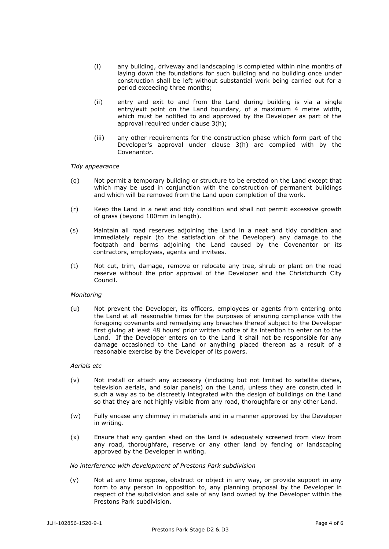- (i) any building, driveway and landscaping is completed within nine months of laying down the foundations for such building and no building once under construction shall be left without substantial work being carried out for a period exceeding three months;
- (ii) entry and exit to and from the Land during building is via a single entry/exit point on the Land boundary, of a maximum 4 metre width, which must be notified to and approved by the Developer as part of the approval required under clause 3(h);
- (iii) any other requirements for the construction phase which form part of the Developer's approval under clause 3(h) are complied with by the Covenantor.

## *Tidy appearance*

- (q) Not permit a temporary building or structure to be erected on the Land except that which may be used in conjunction with the construction of permanent buildings and which will be removed from the Land upon completion of the work.
- (r) Keep the Land in a neat and tidy condition and shall not permit excessive growth of grass (beyond 100mm in length).
- (s) Maintain all road reserves adjoining the Land in a neat and tidy condition and immediately repair (to the satisfaction of the Developer) any damage to the footpath and berms adjoining the Land caused by the Covenantor or its contractors, employees, agents and invitees.
- (t) Not cut, trim, damage, remove or relocate any tree, shrub or plant on the road reserve without the prior approval of the Developer and the Christchurch City Council.

## *Monitoring*

(u) Not prevent the Developer, its officers, employees or agents from entering onto the Land at all reasonable times for the purposes of ensuring compliance with the foregoing covenants and remedying any breaches thereof subject to the Developer first giving at least 48 hours' prior written notice of its intention to enter on to the Land. If the Developer enters on to the Land it shall not be responsible for any damage occasioned to the Land or anything placed thereon as a result of a reasonable exercise by the Developer of its powers.

## *Aerials etc*

- (v) Not install or attach any accessory (including but not limited to satellite dishes, television aerials, and solar panels) on the Land, unless they are constructed in such a way as to be discreetly integrated with the design of buildings on the Land so that they are not highly visible from any road, thoroughfare or any other Land.
- (w) Fully encase any chimney in materials and in a manner approved by the Developer in writing.
- (x) Ensure that any garden shed on the land is adequately screened from view from any road, thoroughfare, reserve or any other land by fencing or landscaping approved by the Developer in writing.

# *No interference with development of Prestons Park subdivision*

(y) Not at any time oppose, obstruct or object in any way, or provide support in any form to any person in opposition to, any planning proposal by the Developer in respect of the subdivision and sale of any land owned by the Developer within the Prestons Park subdivision.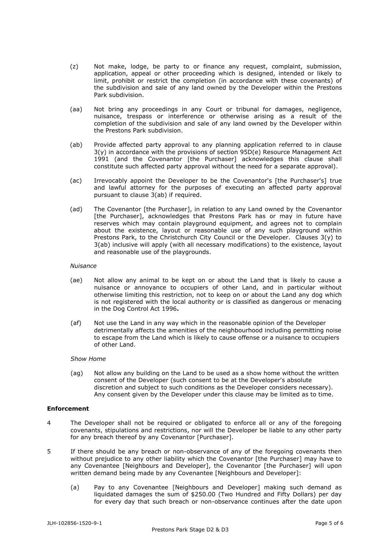- (z) Not make, lodge, be party to or finance any request, complaint, submission, application, appeal or other proceeding which is designed, intended or likely to limit, prohibit or restrict the completion (in accordance with these covenants) of the subdivision and sale of any land owned by the Developer within the Prestons Park subdivision.
- (aa) Not bring any proceedings in any Court or tribunal for damages, negligence, nuisance, trespass or interference or otherwise arising as a result of the completion of the subdivision and sale of any land owned by the Developer within the Prestons Park subdivision.
- (ab) Provide affected party approval to any planning application referred to in clause 3(y) in accordance with the provisions of section 95D(e) Resource Management Act 1991 (and the Covenantor [the Purchaser] acknowledges this clause shall constitute such affected party approval without the need for a separate approval).
- (ac) Irrevocably appoint the Developer to be the Covenantor's [the Purchaser's] true and lawful attorney for the purposes of executing an affected party approval pursuant to clause 3(ab) if required.
- (ad) The Covenantor [the Purchaser], in relation to any Land owned by the Covenantor [the Purchaser], acknowledges that Prestons Park has or may in future have reserves which may contain playground equipment, and agrees not to complain about the existence, layout or reasonable use of any such playground within Prestons Park, to the Christchurch City Council or the Developer. Clauses  $3(y)$  to 3(ab) inclusive will apply (with all necessary modifications) to the existence, layout and reasonable use of the playgrounds.

## *Nuisance*

- (ae) Not allow any animal to be kept on or about the Land that is likely to cause a nuisance or annoyance to occupiers of other Land, and in particular without otherwise limiting this restriction, not to keep on or about the Land any dog which is not registered with the local authority or is classified as dangerous or menacing in the Dog Control Act 1996**.**
- (af) Not use the Land in any way which in the reasonable opinion of the Developer detrimentally affects the amenities of the neighbourhood including permitting noise to escape from the Land which is likely to cause offense or a nuisance to occupiers of other Land.

## *Show Home*

(ag) Not allow any building on the Land to be used as a show home without the written consent of the Developer (such consent to be at the Developer's absolute discretion and subject to such conditions as the Developer considers necessary). Any consent given by the Developer under this clause may be limited as to time.

# **Enforcement**

- 4 The Developer shall not be required or obligated to enforce all or any of the foregoing covenants, stipulations and restrictions, nor will the Developer be liable to any other party for any breach thereof by any Covenantor [Purchaser].
- 5 If there should be any breach or non-observance of any of the foregoing covenants then without prejudice to any other liability which the Covenantor [the Purchaser] may have to any Covenantee [Neighbours and Developer], the Covenantor [the Purchaser] will upon written demand being made by any Covenantee [Neighbours and Developer]:
	- (a) Pay to any Covenantee [Neighbours and Developer] making such demand as liquidated damages the sum of \$250.00 (Two Hundred and Fifty Dollars) per day for every day that such breach or non-observance continues after the date upon